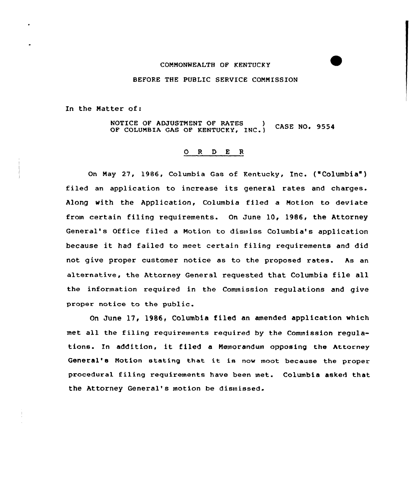## CONNONWEALTH OF KENTUCKY

## BEFORE THE PUBLIC SERVICE COMNISSION

In the Natter of:

NOTICE OF ADJUSTMENT OF RATES **CASE NO. 9554** OF COLUMBIA GAS OF KENTUCKY, INC.)

## ORDER

On Nay 27, 1986, Columbia Gas af Kentucky, Inc. ("Columbia' filed an application to increase its general rates and charges. Along with the Application, Columbia filed a Notion to deviate from certain filing requirements. On June 10, 1986, the Attorney General's Office filed a Motion to dismiss Columbia's application because it had failed to meet certain filing requirements and did not give proper customer notice as to the proposed rates. As an alternative, the Attarney General requested that Columbia file all the information required in the Commission regulations and give proper notice to the public.

On June 17, 1986, Columbia filed an amended application which met all the filing requirements required by the Commission requlations. In addition, it filed <sup>a</sup> Nemorandurn opposing the Attorney General's Notion stating that it is now moot because the proper procedural filing requirements have been met. Columbia asked that the Attorney General's motion be dismissed.